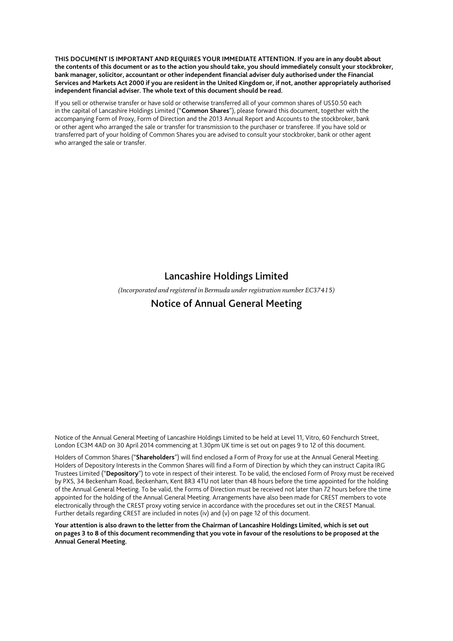**THIS DOCUMENT IS IMPORTANT AND REQUIRES YOUR IMMEDIATE ATTENTION. If you are in any doubt about the contents of this document or as to the action you should take, you should immediately consult your stockbroker, bank manager, solicitor, accountant or other independent financial adviser duly authorised under the Financial Services and Markets Act 2000 if you are resident in the United Kingdom or, if not, another appropriately authorised independent financial adviser. The whole text of this document should be read.** 

If you sell or otherwise transfer or have sold or otherwise transferred all of your common shares of US\$0.50 each in the capital of Lancashire Holdings Limited ("**Common Shares**"), please forward this document, together with the accompanying Form of Proxy, Form of Direction and the 2013 Annual Report and Accounts to the stockbroker, bank or other agent who arranged the sale or transfer for transmission to the purchaser or transferee. If you have sold or transferred part of your holding of Common Shares you are advised to consult your stockbroker, bank or other agent who arranged the sale or transfer.

## **Lancashire Holdings Limited**

*(Incorporated and registered in Bermuda under registration number EC37415)* 

## **Notice of Annual General Meeting**

Notice of the Annual General Meeting of Lancashire Holdings Limited to be held at Level 11, Vitro, 60 Fenchurch Street, London EC3M 4AD on 30 April 2014 commencing at 1.30pm UK time is set out on pages 9 to 12 of this document.

Holders of Common Shares ("**Shareholders**") will find enclosed a Form of Proxy for use at the Annual General Meeting. Holders of Depository Interests in the Common Shares will find a Form of Direction by which they can instruct Capita IRG Trustees Limited ("**Depository**") to vote in respect of their interest. To be valid, the enclosed Form of Proxy must be received by PXS, 34 Beckenham Road, Beckenham, Kent BR3 4TU not later than 48 hours before the time appointed for the holding of the Annual General Meeting. To be valid, the Forms of Direction must be received not later than 72 hours before the time appointed for the holding of the Annual General Meeting. Arrangements have also been made for CREST members to vote electronically through the CREST proxy voting service in accordance with the procedures set out in the CREST Manual. Further details regarding CREST are included in notes (iv) and (v) on page 12 of this document.

**Your attention is also drawn to the letter from the Chairman of Lancashire Holdings Limited, which is set out on pages 3 to 8 of this document recommending that you vote in favour of the resolutions to be proposed at the Annual General Meeting.**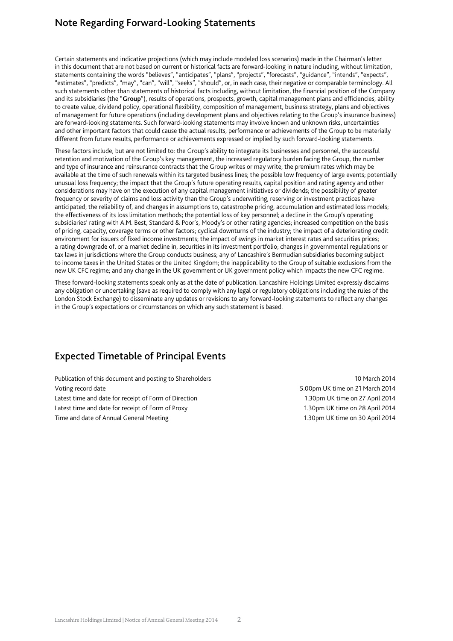# **Note Regarding Forward-Looking Statements**

Certain statements and indicative projections (which may include modeled loss scenarios) made in the Chairman's letter in this document that are not based on current or historical facts are forward-looking in nature including, without limitation, statements containing the words "believes", "anticipates", "plans", "projects", "forecasts", "guidance", "intends", "expects", "estimates", "predicts", "may", "can", "will", "seeks", "should", or, in each case, their negative or comparable terminology. All such statements other than statements of historical facts including, without limitation, the financial position of the Company and its subsidiaries (the "**Group**"), results of operations, prospects, growth, capital management plans and efficiencies, ability to create value, dividend policy, operational flexibility, composition of management, business strategy, plans and objectives of management for future operations (including development plans and objectives relating to the Group's insurance business) are forward-looking statements. Such forward-looking statements may involve known and unknown risks, uncertainties and other important factors that could cause the actual results, performance or achievements of the Group to be materially different from future results, performance or achievements expressed or implied by such forward-looking statements.

These factors include, but are not limited to: the Group's ability to integrate its businesses and personnel, the successful retention and motivation of the Group's key management, the increased regulatory burden facing the Group, the number and type of insurance and reinsurance contracts that the Group writes or may write; the premium rates which may be available at the time of such renewals within its targeted business lines; the possible low frequency of large events; potentially unusual loss frequency; the impact that the Group's future operating results, capital position and rating agency and other considerations may have on the execution of any capital management initiatives or dividends; the possibility of greater frequency or severity of claims and loss activity than the Group's underwriting, reserving or investment practices have anticipated; the reliability of, and changes in assumptions to, catastrophe pricing, accumulation and estimated loss models; the effectiveness of its loss limitation methods; the potential loss of key personnel; a decline in the Group's operating subsidiaries' rating with A.M. Best, Standard & Poor's, Moody's or other rating agencies; increased competition on the basis of pricing, capacity, coverage terms or other factors; cyclical downturns of the industry; the impact of a deteriorating credit environment for issuers of fixed income investments; the impact of swings in market interest rates and securities prices; a rating downgrade of, or a market decline in, securities in its investment portfolio; changes in governmental regulations or tax laws in jurisdictions where the Group conducts business; any of Lancashire's Bermudian subsidiaries becoming subject to income taxes in the United States or the United Kingdom; the inapplicability to the Group of suitable exclusions from the new UK CFC regime; and any change in the UK government or UK government policy which impacts the new CFC regime.

These forward-looking statements speak only as at the date of publication. Lancashire Holdings Limited expressly disclaims any obligation or undertaking (save as required to comply with any legal or regulatory obligations including the rules of the London Stock Exchange) to disseminate any updates or revisions to any forward-looking statements to reflect any changes in the Group's expectations or circumstances on which any such statement is based.

# **Expected Timetable of Principal Events**

Publication of this document and posting to Shareholders 10 March 2014 Voting record date 5.00pm UK time on 21 March 2014 Latest time and date for receipt of Form of Direction 1.30pm UK time on 27 April 2014 Latest time and date for receipt of Form of Proxy 1.30pm UK time on 28 April 2014 Time and date of Annual General Meeting 1.30pm UK time on 30 April 2014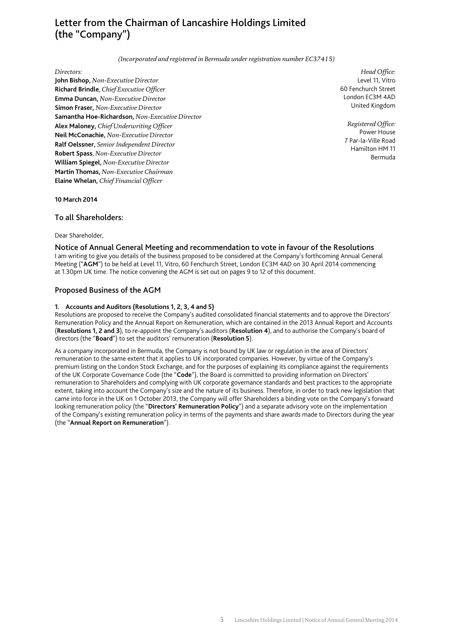# **Letter from the Chairman of Lancashire Holdings Limited (the "Company")**

*(Incorporated and registered in Bermuda under registration number EC37415)* 

#### *Directors:*

**John Bishop,** *Non-Executive Director*  **Richard Brindle***, Chief Executive Officer* **Emma Duncan,** *Non-Executive Director* **Simon Fraser,** *Non-Executive Director* **Samantha Hoe-Richardson,** *Non-Executive Director* **Alex Maloney,** *Chief Underwriting Officer*  **Neil McConachie,** *Non-Executive Director* **Ralf Oelssner,** *Senior Independent Director* **Robert Spass***, Non-Executive Director*  **William Spiegel,** *Non-Executive Director*  **Martin Thomas,** *Non-Executive Chairman* **Elaine Whelan,** *Chief Financial Officer*

*Head Office*: Level 11, Vitro 60 Fenchurch Street London EC3M 4AD United Kingdom

*Registered Office:* Power House 7 Par-la-Ville Road Hamilton HM 11 Bermuda

## **10 March 2014**

## **To all Shareholders:**

Dear Shareholder,

## **Notice of Annual General Meeting and recommendation to vote in favour of the Resolutions**

I am writing to give you details of the business proposed to be considered at the Company's forthcoming Annual General Meeting ("**AGM**") to be held at Level 11, Vitro, 60 Fenchurch Street, London EC3M 4AD on 30 April 2014 commencing at 1.30pm UK time. The notice convening the AGM is set out on pages 9 to 12 of this document.

## **Proposed Business of the AGM**

## **1. Accounts and Auditors (Resolutions 1, 2, 3, 4 and 5)**

Resolutions are proposed to receive the Company's audited consolidated financial statements and to approve the Directors' Remuneration Policy and the Annual Report on Remuneration, which are contained in the 2013 Annual Report and Accounts (**Resolutions 1, 2 and 3**), to re-appoint the Company's auditors (**Resolution 4**), and to authorise the Company's board of directors (the "**Board**") to set the auditors' remuneration (**Resolution 5**).

As a company incorporated in Bermuda, the Company is not bound by UK law or regulation in the area of Directors' remuneration to the same extent that it applies to UK incorporated companies. However, by virtue of the Company's premium listing on the London Stock Exchange, and for the purposes of explaining its compliance against the requirements of the UK Corporate Governance Code (the "**Code**"), the Board is committed to providing information on Directors' remuneration to Shareholders and complying with UK corporate governance standards and best practices to the appropriate extent, taking into account the Company's size and the nature of its business. Therefore, in order to track new legislation that came into force in the UK on 1 October 2013, the Company will offer Shareholders a binding vote on the Company's forward looking remuneration policy (the "**Directors' Remuneration Policy**") and a separate advisory vote on the implementation of the Company's existing remuneration policy in terms of the payments and share awards made to Directors during the year (the "**Annual Report on Remuneration**").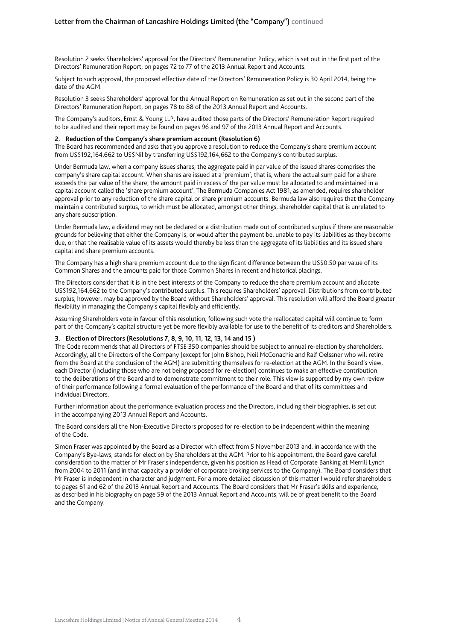Resolution 2 seeks Shareholders' approval for the Directors' Remuneration Policy, which is set out in the first part of the Directors' Remuneration Report, on pages 72 to 77 of the 2013 Annual Report and Accounts.

Subject to such approval, the proposed effective date of the Directors' Remuneration Policy is 30 April 2014, being the date of the AGM.

Resolution 3 seeks Shareholders' approval for the Annual Report on Remuneration as set out in the second part of the Directors' Remuneration Report, on pages 78 to 88 of the 2013 Annual Report and Accounts.

The Company's auditors, Ernst & Young LLP, have audited those parts of the Directors' Remuneration Report required to be audited and their report may be found on pages 96 and 97 of the 2013 Annual Report and Accounts.

## **2. Reduction of the Company's share premium account (Resolution 6)**

The Board has recommended and asks that you approve a resolution to reduce the Company's share premium account from US\$192,164,662 to US\$Nil by transferring US\$192,164,662 to the Company's contributed surplus.

Under Bermuda law, when a company issues shares, the aggregate paid in par value of the issued shares comprises the company's share capital account. When shares are issued at a 'premium', that is, where the actual sum paid for a share exceeds the par value of the share, the amount paid in excess of the par value must be allocated to and maintained in a capital account called the 'share premium account'. The Bermuda Companies Act 1981, as amended, requires shareholder approval prior to any reduction of the share capital or share premium accounts. Bermuda law also requires that the Company maintain a contributed surplus, to which must be allocated, amongst other things, shareholder capital that is unrelated to any share subscription.

Under Bermuda law, a dividend may not be declared or a distribution made out of contributed surplus if there are reasonable grounds for believing that either the Company is, or would after the payment be, unable to pay its liabilities as they become due, or that the realisable value of its assets would thereby be less than the aggregate of its liabilities and its issued share capital and share premium accounts.

The Company has a high share premium account due to the significant difference between the US\$0.50 par value of its Common Shares and the amounts paid for those Common Shares in recent and historical placings.

The Directors consider that it is in the best interests of the Company to reduce the share premium account and allocate US\$192,164,662 to the Company's contributed surplus. This requires Shareholders' approval. Distributions from contributed surplus, however, may be approved by the Board without Shareholders' approval. This resolution will afford the Board greater flexibility in managing the Company's capital flexibly and efficiently.

Assuming Shareholders vote in favour of this resolution, following such vote the reallocated capital will continue to form part of the Company's capital structure yet be more flexibly available for use to the benefit of its creditors and Shareholders.

## **3. Election of Directors (Resolutions 7, 8, 9, 10, 11, 12, 13, 14 and 15 )**

The Code recommends that all Directors of FTSE 350 companies should be subject to annual re-election by shareholders. Accordingly, all the Directors of the Company (except for John Bishop, Neil McConachie and Ralf Oelssner who will retire from the Board at the conclusion of the AGM) are submitting themselves for re-election at the AGM. In the Board's view, each Director (including those who are not being proposed for re-election) continues to make an effective contribution to the deliberations of the Board and to demonstrate commitment to their role. This view is supported by my own review of their performance following a formal evaluation of the performance of the Board and that of its committees and individual Directors.

Further information about the performance evaluation process and the Directors, including their biographies, is set out in the accompanying 2013 Annual Report and Accounts.

The Board considers all the Non-Executive Directors proposed for re-election to be independent within the meaning of the Code.

Simon Fraser was appointed by the Board as a Director with effect from 5 November 2013 and, in accordance with the Company's Bye-laws, stands for election by Shareholders at the AGM. Prior to his appointment, the Board gave careful consideration to the matter of Mr Fraser's independence, given his position as Head of Corporate Banking at Merrill Lynch from 2004 to 2011 (and in that capacity a provider of corporate broking services to the Company). The Board considers that Mr Fraser is independent in character and judgment. For a more detailed discussion of this matter I would refer shareholders to pages 61 and 62 of the 2013 Annual Report and Accounts. The Board considers that Mr Fraser's skills and experience, as described in his biography on page 59 of the 2013 Annual Report and Accounts, will be of great benefit to the Board and the Company.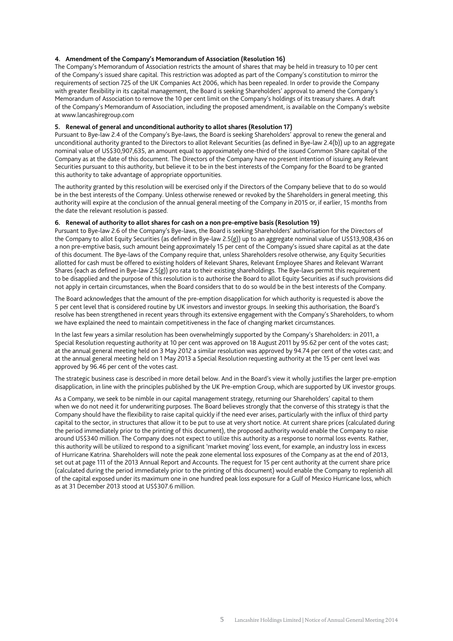## **4. Amendment of the Company's Memorandum of Association (Resolution 16)**

The Company's Memorandum of Association restricts the amount of shares that may be held in treasury to 10 per cent of the Company's issued share capital. This restriction was adopted as part of the Company's constitution to mirror the requirements of section 725 of the UK Companies Act 2006, which has been repealed. In order to provide the Company with greater flexibility in its capital management, the Board is seeking Shareholders' approval to amend the Company's Memorandum of Association to remove the 10 per cent limit on the Company's holdings of its treasury shares. A draft of the Company's Memorandum of Association, including the proposed amendment, is available on the Company's website at www.lancashiregroup.com

## **5. Renewal of general and unconditional authority to allot shares (Resolution 17)**

Pursuant to Bye-law 2.4 of the Company's Bye-laws, the Board is seeking Shareholders' approval to renew the general and unconditional authority granted to the Directors to allot Relevant Securities (as defined in Bye-law 2.4(b)) up to an aggregate nominal value of US\$30,907,635, an amount equal to approximately one-third of the issued Common Share capital of the Company as at the date of this document. The Directors of the Company have no present intention of issuing any Relevant Securities pursuant to this authority, but believe it to be in the best interests of the Company for the Board to be granted this authority to take advantage of appropriate opportunities.

The authority granted by this resolution will be exercised only if the Directors of the Company believe that to do so would be in the best interests of the Company. Unless otherwise renewed or revoked by the Shareholders in general meeting, this authority will expire at the conclusion of the annual general meeting of the Company in 2015 or, if earlier, 15 months from the date the relevant resolution is passed.

## **6. Renewal of authority to allot shares for cash on a non pre-emptive basis (Resolution 19)**

Pursuant to Bye-law 2.6 of the Company's Bye-laws, the Board is seeking Shareholders' authorisation for the Directors of the Company to allot Equity Securities (as defined in Bye-law 2.5(g)) up to an aggregate nominal value of US\$13,908,436 on a non pre-emptive basis, such amount being approximately 15 per cent of the Company's issued share capital as at the date of this document. The Bye-laws of the Company require that, unless Shareholders resolve otherwise, any Equity Securities allotted for cash must be offered to existing holders of Relevant Shares, Relevant Employee Shares and Relevant Warrant Shares (each as defined in Bye-law 2.5(g)) pro rata to their existing shareholdings. The Bye-laws permit this requirement to be disapplied and the purpose of this resolution is to authorise the Board to allot Equity Securities as if such provisions did not apply in certain circumstances, when the Board considers that to do so would be in the best interests of the Company.

The Board acknowledges that the amount of the pre-emption disapplication for which authority is requested is above the 5 per cent level that is considered routine by UK investors and investor groups. In seeking this authorisation, the Board's resolve has been strengthened in recent years through its extensive engagement with the Company's Shareholders, to whom we have explained the need to maintain competitiveness in the face of changing market circumstances.

In the last few years a similar resolution has been overwhelmingly supported by the Company's Shareholders: in 2011, a Special Resolution requesting authority at 10 per cent was approved on 18 August 2011 by 95.62 per cent of the votes cast; at the annual general meeting held on 3 May 2012 a similar resolution was approved by 94.74 per cent of the votes cast; and at the annual general meeting held on 1 May 2013 a Special Resolution requesting authority at the 15 per cent level was approved by 96.46 per cent of the votes cast.

The strategic business case is described in more detail below. And in the Board's view it wholly justifies the larger pre-emption disapplication, in line with the principles published by the UK Pre-emption Group, which are supported by UK investor groups.

As a Company, we seek to be nimble in our capital management strategy, returning our Shareholders' capital to them when we do not need it for underwriting purposes. The Board believes strongly that the converse of this strategy is that the Company should have the flexibility to raise capital quickly if the need ever arises, particularly with the influx of third party capital to the sector, in structures that allow it to be put to use at very short notice. At current share prices (calculated during the period immediately prior to the printing of this document), the proposed authority would enable the Company to raise around US\$340 million. The Company does not expect to utilize this authority as a response to normal loss events. Rather, this authority will be utilized to respond to a significant 'market moving' loss event, for example, an industry loss in excess of Hurricane Katrina. Shareholders will note the peak zone elemental loss exposures of the Company as at the end of 2013, set out at page 111 of the 2013 Annual Report and Accounts. The request for 15 per cent authority at the current share price (calculated during the period immediately prior to the printing of this document) would enable the Company to replenish all of the capital exposed under its maximum one in one hundred peak loss exposure for a Gulf of Mexico Hurricane loss, which as at 31 December 2013 stood at US\$307.6 million.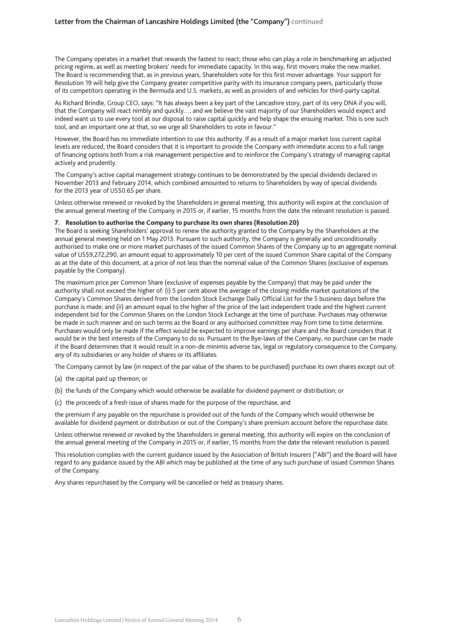The Company operates in a market that rewards the fastest to react; those who can play a role in benchmarking an adjusted pricing regime, as well as meeting brokers' needs for immediate capacity. In this way, first movers make the new market. The Board is recommending that, as in previous years, Shareholders vote for this first mover advantage. Your support for Resolution 19 will help give the Company greater competitive parity with its insurance company peers, particularly those of its competitors operating in the Bermuda and U.S. markets, as well as providers of and vehicles for third-party capital.

As Richard Brindle, Group CEO, says: "It has always been a key part of the Lancashire story, part of its very DNA if you will, that the Company will react nimbly and quickly…, and we believe the vast majority of our Shareholders would expect and indeed want us to use every tool at our disposal to raise capital quickly and help shape the ensuing market. This is one such tool, and an important one at that, so we urge all Shareholders to vote in favour."

However, the Board has no immediate intention to use this authority. If as a result of a major market loss current capital levels are reduced, the Board considers that it is important to provide the Company with immediate access to a full range of financing options both from a risk management perspective and to reinforce the Company's strategy of managing capital actively and prudently.

The Company's active capital management strategy continues to be demonstrated by the special dividends declared in November 2013 and February 2014, which combined amounted to returns to Shareholders by way of special dividends for the 2013 year of US\$0.65 per share.

Unless otherwise renewed or revoked by the Shareholders in general meeting, this authority will expire at the conclusion of the annual general meeting of the Company in 2015 or, if earlier, 15 months from the date the relevant resolution is passed.

#### **7. Resolution to authorise the Company to purchase its own shares (Resolution 20)**

The Board is seeking Shareholders' approval to renew the authority granted to the Company by the Shareholders at the annual general meeting held on 1 May 2013. Pursuant to such authority, the Company is generally and unconditionally authorised to make one or more market purchases of the issued Common Shares of the Company up to an aggregate nominal value of US\$9,272,290, an amount equal to approximately 10 per cent of the issued Common Share capital of the Company as at the date of this document, at a price of not less than the nominal value of the Common Shares (exclusive of expenses payable by the Company).

The maximum price per Common Share (exclusive of expenses payable by the Company) that may be paid under the authority shall not exceed the higher of: (i) 5 per cent above the average of the closing middle market quotations of the Company's Common Shares derived from the London Stock Exchange Daily Official List for the 5 business days before the purchase is made; and (ii) an amount equal to the higher of the price of the last independent trade and the highest current independent bid for the Common Shares on the London Stock Exchange at the time of purchase. Purchases may otherwise be made in such manner and on such terms as the Board or any authorised committee may from time to time determine. Purchases would only be made if the effect would be expected to improve earnings per share and the Board considers that it would be in the best interests of the Company to do so. Pursuant to the Bye-laws of the Company, no purchase can be made if the Board determines that it would result in a non-de minimis adverse tax, legal or regulatory consequence to the Company, any of its subsidiaries or any holder of shares or its affiliates.

The Company cannot by law (in respect of the par value of the shares to be purchased) purchase its own shares except out of:

- (a) the capital paid up thereon; or
- (b) the funds of the Company which would otherwise be available for dividend payment or distribution; or
- (c) the proceeds of a fresh issue of shares made for the purpose of the repurchase, and

the premium if any payable on the repurchase is provided out of the funds of the Company which would otherwise be available for dividend payment or distribution or out of the Company's share premium account before the repurchase date.

Unless otherwise renewed or revoked by the Shareholders in general meeting, this authority will expire on the conclusion of the annual general meeting of the Company in 2015 or, if earlier, 15 months from the date the relevant resolution is passed.

This resolution complies with the current guidance issued by the Association of British Insurers ("ABI") and the Board will have regard to any guidance issued by the ABI which may be published at the time of any such purchase of issued Common Shares of the Company.

Any shares repurchased by the Company will be cancelled or held as treasury shares.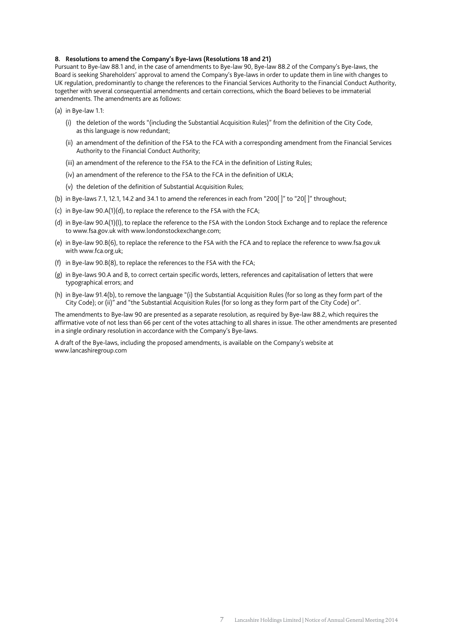#### **8. Resolutions to amend the Company's Bye-laws (Resolutions 18 and 21)**

Pursuant to Bye-law 88.1 and, in the case of amendments to Bye-law 90, Bye-law 88.2 of the Company's Bye-laws, the Board is seeking Shareholders' approval to amend the Company's Bye-laws in order to update them in line with changes to UK regulation, predominantly to change the references to the Financial Services Authority to the Financial Conduct Authority, together with several consequential amendments and certain corrections, which the Board believes to be immaterial amendments. The amendments are as follows:

- (a) in Bye-law 1.1:
	- (i) the deletion of the words "(including the Substantial Acquisition Rules)" from the definition of the City Code, as this language is now redundant;
	- (ii) an amendment of the definition of the FSA to the FCA with a corresponding amendment from the Financial Services Authority to the Financial Conduct Authority;
	- (iii) an amendment of the reference to the FSA to the FCA in the definition of Listing Rules;
	- (iv) an amendment of the reference to the FSA to the FCA in the definition of UKLA;
	- (v) the deletion of the definition of Substantial Acquisition Rules;
- (b) in Bye-laws 7.1, 12.1, 14.2 and 34.1 to amend the references in each from "200[ ]" to "20[ ]" throughout;
- (c) in Bye-law 90.A(1)(d), to replace the reference to the FSA with the FCA;
- (d) in Bye-law 90.A(1)(l), to replace the reference to the FSA with the London Stock Exchange and to replace the reference to www.fsa.gov.uk with www.londonstockexchange.com;
- (e) in Bye-law 90.B(6), to replace the reference to the FSA with the FCA and to replace the reference to www.fsa.gov.uk with www.fca.org.uk;
- (f) in Bye-law 90.B(8), to replace the references to the FSA with the FCA;
- (g) in Bye-laws 90.A and B, to correct certain specific words, letters, references and capitalisation of letters that were typographical errors; and
- (h) in Bye-law 91.4(b), to remove the language "(i) the Substantial Acquisition Rules (for so long as they form part of the City Code); or (ii)" and "the Substantial Acquisition Rules (for so long as they form part of the City Code) or".

The amendments to Bye-law 90 are presented as a separate resolution, as required by Bye-law 88.2, which requires the affirmative vote of not less than 66 per cent of the votes attaching to all shares in issue. The other amendments are presented in a single ordinary resolution in accordance with the Company's Bye-laws.

A draft of the Bye-laws, including the proposed amendments, is available on the Company's website at www.lancashiregroup.com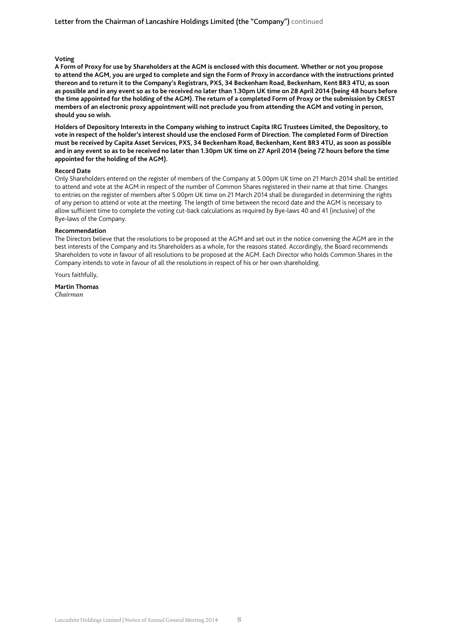#### **Voting**

**A Form of Proxy for use by Shareholders at the AGM is enclosed with this document. Whether or not you propose to attend the AGM, you are urged to complete and sign the Form of Proxy in accordance with the instructions printed thereon and to return it to the Company's Registrars, PXS, 34 Beckenham Road, Beckenham, Kent BR3 4TU, as soon as possible and in any event so as to be received no later than 1.30pm UK time on 28 April 2014 (being 48 hours before the time appointed for the holding of the AGM). The return of a completed Form of Proxy or the submission by CREST members of an electronic proxy appointment will not preclude you from attending the AGM and voting in person, should you so wish.** 

**Holders of Depository Interests in the Company wishing to instruct Capita IRG Trustees Limited, the Depository, to vote in respect of the holder's interest should use the enclosed Form of Direction. The completed Form of Direction must be received by Capita Asset Services, PXS, 34 Beckenham Road, Beckenham, Kent BR3 4TU, as soon as possible and in any event so as to be received no later than 1.30pm UK time on 27 April 2014 (being 72 hours before the time appointed for the holding of the AGM).** 

#### **Record Date**

Only Shareholders entered on the register of members of the Company at 5.00pm UK time on 21 March 2014 shall be entitled to attend and vote at the AGM in respect of the number of Common Shares registered in their name at that time. Changes to entries on the register of members after 5.00pm UK time on 21 March 2014 shall be disregarded in determining the rights of any person to attend or vote at the meeting. The length of time between the record date and the AGM is necessary to allow sufficient time to complete the voting cut-back calculations as required by Bye-laws 40 and 41 (inclusive) of the Bye-laws of the Company.

#### **Recommendation**

The Directors believe that the resolutions to be proposed at the AGM and set out in the notice convening the AGM are in the best interests of the Company and its Shareholders as a whole, for the reasons stated. Accordingly, the Board recommends Shareholders to vote in favour of all resolutions to be proposed at the AGM. Each Director who holds Common Shares in the Company intends to vote in favour of all the resolutions in respect of his or her own shareholding.

Yours faithfully,

**Martin Thomas**  *Chairman*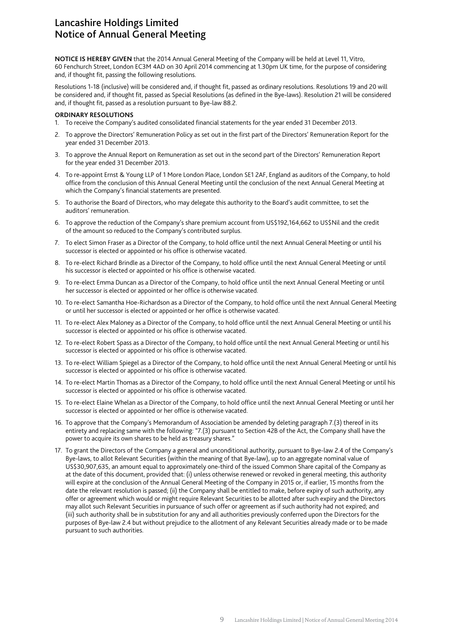## **Lancashire Holdings Limited Notice of Annual General Meeting**

**NOTICE IS HEREBY GIVEN** that the 2014 Annual General Meeting of the Company will be held at Level 11, Vitro, 60 Fenchurch Street, London EC3M 4AD on 30 April 2014 commencing at 1.30pm UK time, for the purpose of considering and, if thought fit, passing the following resolutions.

Resolutions 1-18 (inclusive) will be considered and, if thought fit, passed as ordinary resolutions. Resolutions 19 and 20 will be considered and, if thought fit, passed as Special Resolutions (as defined in the Bye-laws). Resolution 21 will be considered and, if thought fit, passed as a resolution pursuant to Bye-law 88.2.

#### **ORDINARY RESOLUTIONS**

- 1. To receive the Company's audited consolidated financial statements for the year ended 31 December 2013.
- 2. To approve the Directors' Remuneration Policy as set out in the first part of the Directors' Remuneration Report for the year ended 31 December 2013.
- 3. To approve the Annual Report on Remuneration as set out in the second part of the Directors' Remuneration Report for the year ended 31 December 2013.
- 4. To re-appoint Ernst & Young LLP of 1 More London Place, London SE1 2AF, England as auditors of the Company, to hold office from the conclusion of this Annual General Meeting until the conclusion of the next Annual General Meeting at which the Company's financial statements are presented.
- 5. To authorise the Board of Directors, who may delegate this authority to the Board's audit committee, to set the auditors' remuneration.
- 6. To approve the reduction of the Company's share premium account from US\$192,164,662 to US\$Nil and the credit of the amount so reduced to the Company's contributed surplus.
- 7. To elect Simon Fraser as a Director of the Company, to hold office until the next Annual General Meeting or until his successor is elected or appointed or his office is otherwise vacated.
- 8. To re-elect Richard Brindle as a Director of the Company, to hold office until the next Annual General Meeting or until his successor is elected or appointed or his office is otherwise vacated.
- 9. To re-elect Emma Duncan as a Director of the Company, to hold office until the next Annual General Meeting or until her successor is elected or appointed or her office is otherwise vacated.
- 10. To re-elect Samantha Hoe-Richardson as a Director of the Company, to hold office until the next Annual General Meeting or until her successor is elected or appointed or her office is otherwise vacated.
- 11. To re-elect Alex Maloney as a Director of the Company, to hold office until the next Annual General Meeting or until his successor is elected or appointed or his office is otherwise vacated.
- 12. To re-elect Robert Spass as a Director of the Company, to hold office until the next Annual General Meeting or until his successor is elected or appointed or his office is otherwise vacated.
- 13. To re-elect William Spiegel as a Director of the Company, to hold office until the next Annual General Meeting or until his successor is elected or appointed or his office is otherwise vacated.
- 14. To re-elect Martin Thomas as a Director of the Company, to hold office until the next Annual General Meeting or until his successor is elected or appointed or his office is otherwise vacated.
- 15. To re-elect Elaine Whelan as a Director of the Company, to hold office until the next Annual General Meeting or until her successor is elected or appointed or her office is otherwise vacated.
- 16. To approve that the Company's Memorandum of Association be amended by deleting paragraph 7.(3) thereof in its entirety and replacing same with the following: "7.(3) pursuant to Section 42B of the Act, the Company shall have the power to acquire its own shares to be held as treasury shares."
- 17. To grant the Directors of the Company a general and unconditional authority, pursuant to Bye-law 2.4 of the Company's Bye-laws, to allot Relevant Securities (within the meaning of that Bye-law), up to an aggregate nominal value of US\$30,907,635, an amount equal to approximately one-third of the issued Common Share capital of the Company as at the date of this document, provided that: (i) unless otherwise renewed or revoked in general meeting, this authority will expire at the conclusion of the Annual General Meeting of the Company in 2015 or, if earlier, 15 months from the date the relevant resolution is passed; (ii) the Company shall be entitled to make, before expiry of such authority, any offer or agreement which would or might require Relevant Securities to be allotted after such expiry and the Directors may allot such Relevant Securities in pursuance of such offer or agreement as if such authority had not expired; and (iii) such authority shall be in substitution for any and all authorities previously conferred upon the Directors for the purposes of Bye-law 2.4 but without prejudice to the allotment of any Relevant Securities already made or to be made pursuant to such authorities.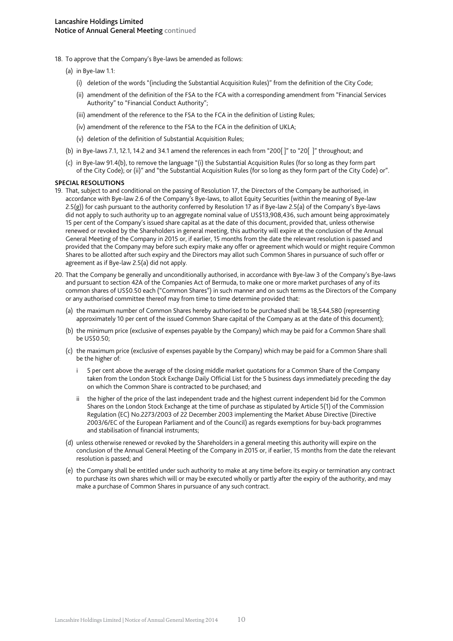- 18. To approve that the Company's Bye-laws be amended as follows:
	- (a) in Bye-law 1.1:
		- (i) deletion of the words "(including the Substantial Acquisition Rules)" from the definition of the City Code;
		- (ii) amendment of the definition of the FSA to the FCA with a corresponding amendment from "Financial Services Authority" to "Financial Conduct Authority";
		- (iii) amendment of the reference to the FSA to the FCA in the definition of Listing Rules;
		- (iv) amendment of the reference to the FSA to the FCA in the definition of UKLA;
		- (v) deletion of the definition of Substantial Acquisition Rules;
	- (b) in Bye-laws 7.1, 12.1, 14.2 and 34.1 amend the references in each from "200[ ]" to "20[ ]" throughout; and
	- (c) in Bye-law 91.4(b), to remove the language "(i) the Substantial Acquisition Rules (for so long as they form part of the City Code); or (ii)" and "the Substantial Acquisition Rules (for so long as they form part of the City Code) or".

#### **SPECIAL RESOLUTIONS**

- 19. That, subject to and conditional on the passing of Resolution 17, the Directors of the Company be authorised, in accordance with Bye-law 2.6 of the Company's Bye-laws, to allot Equity Securities (within the meaning of Bye-law  $2.5(g)$ ) for cash pursuant to the authority conferred by Resolution 17 as if Bye-law 2.5(a) of the Company's Bye-laws did not apply to such authority up to an aggregate nominal value of US\$13,908,436, such amount being approximately 15 per cent of the Company's issued share capital as at the date of this document, provided that, unless otherwise renewed or revoked by the Shareholders in general meeting, this authority will expire at the conclusion of the Annual General Meeting of the Company in 2015 or, if earlier, 15 months from the date the relevant resolution is passed and provided that the Company may before such expiry make any offer or agreement which would or might require Common Shares to be allotted after such expiry and the Directors may allot such Common Shares in pursuance of such offer or agreement as if Bye-law 2.5(a) did not apply.
- 20. That the Company be generally and unconditionally authorised, in accordance with Bye-law 3 of the Company's Bye-laws and pursuant to section 42A of the Companies Act of Bermuda, to make one or more market purchases of any of its common shares of US\$0.50 each ("Common Shares") in such manner and on such terms as the Directors of the Company or any authorised committee thereof may from time to time determine provided that:
	- (a) the maximum number of Common Shares hereby authorised to be purchased shall be 18,544,580 (representing approximately 10 per cent of the issued Common Share capital of the Company as at the date of this document);
	- (b) the minimum price (exclusive of expenses payable by the Company) which may be paid for a Common Share shall be US\$0.50;
	- (c) the maximum price (exclusive of expenses payable by the Company) which may be paid for a Common Share shall be the higher of:
		- i 5 per cent above the average of the closing middle market quotations for a Common Share of the Company taken from the London Stock Exchange Daily Official List for the 5 business days immediately preceding the day on which the Common Share is contracted to be purchased; and
		- ii the higher of the price of the last independent trade and the highest current independent bid for the Common Shares on the London Stock Exchange at the time of purchase as stipulated by Article 5(1) of the Commission Regulation (EC) No.2273/2003 of 22 December 2003 implementing the Market Abuse Directive (Directive 2003/6/EC of the European Parliament and of the Council) as regards exemptions for buy-back programmes and stabilisation of financial instruments;
	- (d) unless otherwise renewed or revoked by the Shareholders in a general meeting this authority will expire on the conclusion of the Annual General Meeting of the Company in 2015 or, if earlier, 15 months from the date the relevant resolution is passed; and
	- (e) the Company shall be entitled under such authority to make at any time before its expiry or termination any contract to purchase its own shares which will or may be executed wholly or partly after the expiry of the authority, and may make a purchase of Common Shares in pursuance of any such contract.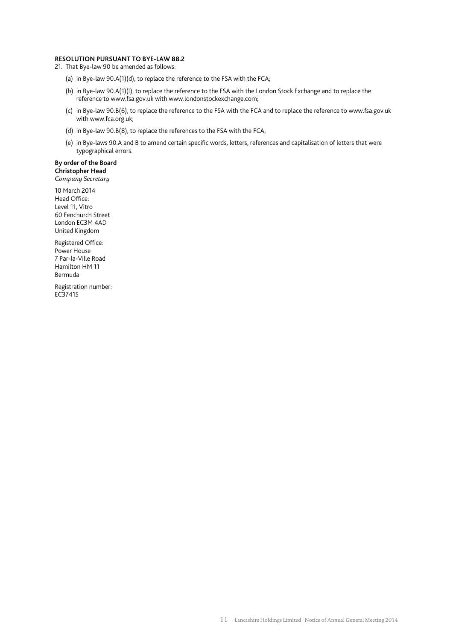## **RESOLUTION PURSUANT TO BYE-LAW 88.2**

21. That Bye-law 90 be amended as follows:

- (a) in Bye-law 90.A(1)(d), to replace the reference to the FSA with the FCA;
- (b) in Bye-law 90.A(1)(l), to replace the reference to the FSA with the London Stock Exchange and to replace the reference to www.fsa.gov.uk with www.londonstockexchange.com;
- (c) in Bye-law 90.B(6), to replace the reference to the FSA with the FCA and to replace the reference to www.fsa.gov.uk with www.fca.org.uk;
- (d) in Bye-law 90.B(8), to replace the references to the FSA with the FCA;
- (e) in Bye-laws 90.A and B to amend certain specific words, letters, references and capitalisation of letters that were typographical errors.

**By order of the Board Christopher Head**  *Company Secretary* 

10 March 2014 Head Office: Level 11, Vitro 60 Fenchurch Street London EC3M 4AD United Kingdom

Registered Office: Power House 7 Par-la-Ville Road Hamilton HM 11 Bermuda

Registration number: EC37415